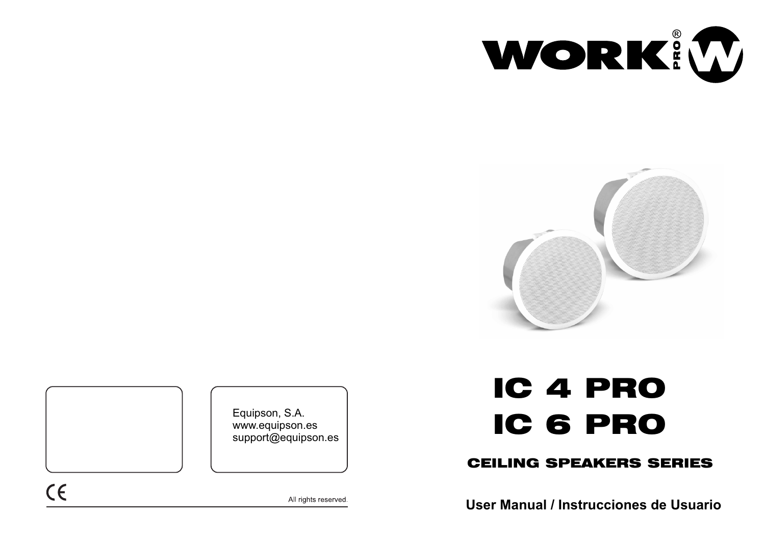



Equipson, S.A. www.equipson.es support@equipson.es

# IC 4 PRO IC 6 PRO

# CEILING SPEAKERS SERIES

**User Manual / Instrucciones de Usuario**

 $C \in$ 

All rights reserved.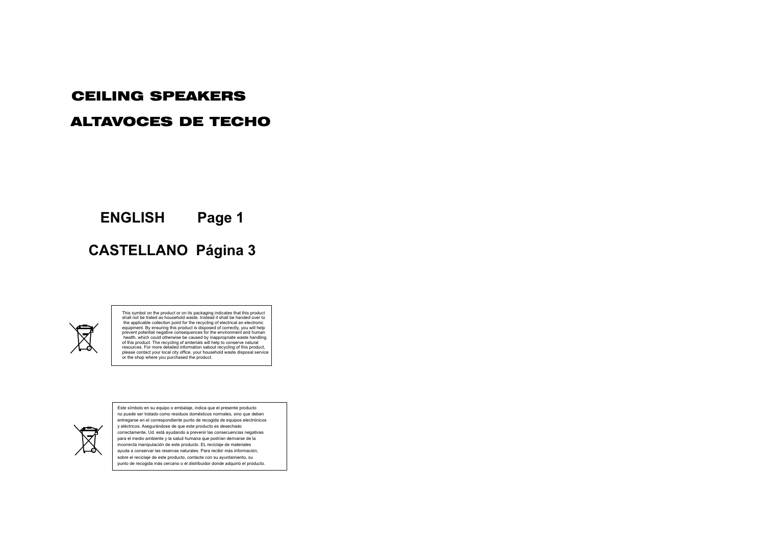## CEILING SPEAKERS

## ALTAVOCES DE TECHO

**ENGLISH Page 1**

# **CASTELLANO Página 3**



This symbol on the product or on its packaging indicates that this product shall not be trated as household waste. Instead it shall be handed over to the applicable collection point for the recycling of electrical an electronic equipment. By ensuring this product is disposed of correctly, you will help prevent potential negative consequences for the environment and human health, which could otherwise be caused by inappropriate waste handling of this product. The recycling of amterials will help to conserve natural<br>resources. For more detailed information sabout recycling of this product,<br>please contact your local city office, your household waste disposal serv or the shop where you purchased the product.



Este símbolo en su equipo o embalaje, indica que el presente producto no puede ser tratado como residuos domésticos normales, sino que deben entregarse en el correspondiente punto de recogida de equipos electrónicos y eléctricos. Asegurándose de que este producto es desechado correctamente, Ud. está ayudando a prevenir las consecuencias negativas para el medio ambiente y la salud humana que podrían derivarse de la incorrecta manipulación de este producto. EL reciclaje de materiales ayuda a conservar las reservas naturales. Para recibir más información, sobre el reciclaje de este producto, contacte con su ayuntamiento, su punto de recogida más cercano o el distribuidor donde adquirió el producto.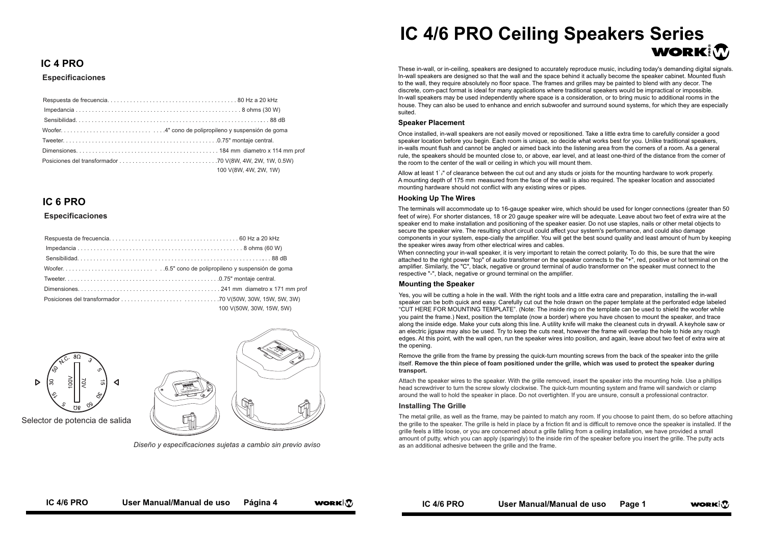### **IC 4 PRO**

#### **Especificaciones**

| 100 V(8W, 4W, 2W, 1W) |
|-----------------------|

#### **IC 6 PRO**

#### **Especificaciones**

| 100 V(50W, 30W, 15W, 5W) |
|--------------------------|



*Diseño y especificaciones sujetas a cambio sin previo aviso*

# **IC 4/6 PRO Ceiling Speakers Series** WORKIM

These in-wall, or in-ceiling, speakers are designed to accurately reproduce music, including today's demanding digital signals. In-wall speakers are designed so that the wall and the space behind it actually become the speaker cabinet. Mounted flush to the wall, they require absolutely no floor space. The frames and grilles may be painted to blend with any decor. The discrete, com-pact format is ideal for many applications where traditional speakers would be impractical or impossible. In-wall speakers may be used independently where space is a consideration, or to bring music to additional rooms in the house. They can also be used to enhance and enrich subwoofer and surround sound systems, for which they are especially suited.

#### **Speaker Placement**

Once installed, in-wall speakers are not easily moved or repositioned. Take a little extra time to carefully consider a good speaker location before you begin. Each room is unique, so decide what works best for you. Unlike traditional speakers, in-walls mount flush and cannot be angled or aimed back into the listening area from the corners of a room. As a general rule, the speakers should be mounted close to, or above, ear level, and at least one-third of the distance from the corner of the room to the center of the wall or ceiling in which you will mount them.

Allow at least 1' $z$ " of clearance between the cut out and any studs or joists for the mounting hardware to work properly. A mounting depth of 175 mm measured from the face of the wall is also required. The speaker location and associated mounting hardware should not conflict with any existing wires or pipes.

#### **Hooking Up The Wires**

The terminals will accommodate up to 16-gauge speaker wire, which should be used for longer connections (greater than 50 feet of wire). For shorter distances, 18 or 20 gauge speaker wire will be adequate. Leave about two feet of extra wire at the speaker end to make installation and positioning of the speaker easier. Do not use staples, nails or other metal objects to secure the speaker wire. The resulting short circuit could affect your system's performance, and could also damage components in your system, espe-cially the amplifier. You will get the best sound quality and least amount of hum by keeping the speaker wires away from other electrical wires and cables.

When connecting your in-wall speaker, it is very important to retain the correct polarity. To do this, be sure that the wire attached to the right power "top" of audio transformer on the speaker connects to the "+", red, positive or hot terminal on the amplifier. Similarly, the "C", black, negative or ground terminal of audio transformer on the speaker must connect to the respective "-", black, negative or ground terminal on the amplifier.

#### **Mounting the Speaker**

Yes, you will be cutting a hole in the wall. With the right tools and a little extra care and preparation, installing the in-wall speaker can be both quick and easy. Carefully cut out the hole drawn on the paper template at the perforated edge labeled "CUT HERE FOR MOUNTING TEMPLATE". (Note: The inside ring on the template can be used to shield the woofer while you paint the frame.) Next, position the template (now a border) where you have chosen to mount the speaker, and trace along the inside edge. Make your cuts along this line. A utility knife will make the cleanest cuts in drywall. A keyhole saw or an electric jigsaw may also be used. Try to keep the cuts neat, however the frame will overlap the hole to hide any rough edges. At this point, with the wall open, run the speaker wires into position, and again, leave about two feet of extra wire at the opening.

Remove the grille from the frame by pressing the quick-turn mounting screws from the back of the speaker into the grille itself. **Remove the thin piece of foam positioned under the grille, which was used to protect the speaker during transport.** 

Attach the speaker wires to the speaker. With the grille removed, insert the speaker into the mounting hole. Use a phillips head screwdriver to turn the screw slowly clockwise. The quick-turn mounting system and frame will sandwich or clamp around the wall to hold the speaker in place. Do not overtighten. If you are unsure, consult a professional contractor.

#### **Installing The Grille**

The metal grille, as well as the frame, may be painted to match any room. If you choose to paint them, do so before attaching the grille to the speaker. The grille is held in place by a friction fit and is difficult to remove once the speaker is installed. If the grille feels a little loose, or you are concerned about a grille falling from a ceiling installation, we have provided a small amount of putty, which you can apply (sparingly) to the inside rim of the speaker before you insert the grille. The putty acts as an additional adhesive between the grille and the frame.